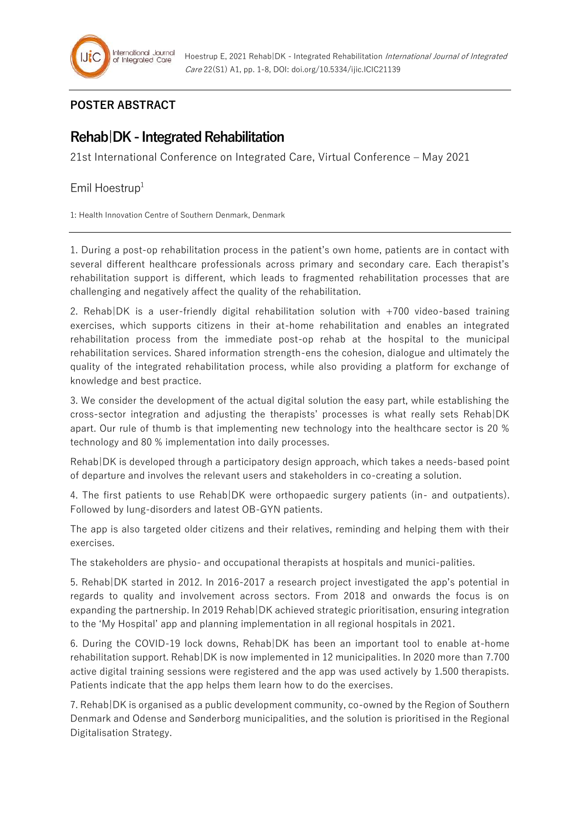

## **POSTER ABSTRACT**

## **Rehab|DK - Integrated Rehabilitation**

21st International Conference on Integrated Care, Virtual Conference – May 2021

## Emil Hoestrup $1$

1: Health Innovation Centre of Southern Denmark, Denmark

1. During a post-op rehabilitation process in the patient's own home, patients are in contact with several different healthcare professionals across primary and secondary care. Each therapist's rehabilitation support is different, which leads to fragmented rehabilitation processes that are challenging and negatively affect the quality of the rehabilitation.

2. Rehab|DK is a user-friendly digital rehabilitation solution with +700 video-based training exercises, which supports citizens in their at-home rehabilitation and enables an integrated rehabilitation process from the immediate post-op rehab at the hospital to the municipal rehabilitation services. Shared information strength-ens the cohesion, dialogue and ultimately the quality of the integrated rehabilitation process, while also providing a platform for exchange of knowledge and best practice.

3. We consider the development of the actual digital solution the easy part, while establishing the cross-sector integration and adjusting the therapists' processes is what really sets Rehab|DK apart. Our rule of thumb is that implementing new technology into the healthcare sector is 20 % technology and 80 % implementation into daily processes.

Rehab|DK is developed through a participatory design approach, which takes a needs-based point of departure and involves the relevant users and stakeholders in co-creating a solution.

4. The first patients to use Rehab|DK were orthopaedic surgery patients (in- and outpatients). Followed by lung-disorders and latest OB-GYN patients.

The app is also targeted older citizens and their relatives, reminding and helping them with their exercises.

The stakeholders are physio- and occupational therapists at hospitals and munici-palities.

5. Rehab|DK started in 2012. In 2016-2017 a research project investigated the app's potential in regards to quality and involvement across sectors. From 2018 and onwards the focus is on expanding the partnership. In 2019 Rehab|DK achieved strategic prioritisation, ensuring integration to the 'My Hospital' app and planning implementation in all regional hospitals in 2021.

6. During the COVID-19 lock downs, Rehab|DK has been an important tool to enable at-home rehabilitation support. Rehab|DK is now implemented in 12 municipalities. In 2020 more than 7.700 active digital training sessions were registered and the app was used actively by 1.500 therapists. Patients indicate that the app helps them learn how to do the exercises.

7. Rehab|DK is organised as a public development community, co-owned by the Region of Southern Denmark and Odense and Sønderborg municipalities, and the solution is prioritised in the Regional Digitalisation Strategy.